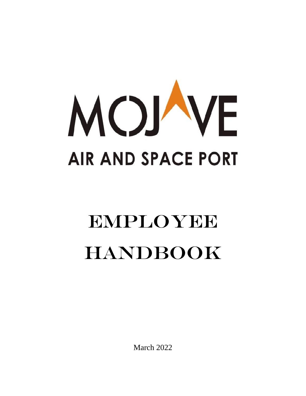

# EMPLOYEE **HANDBOOK**

March 2022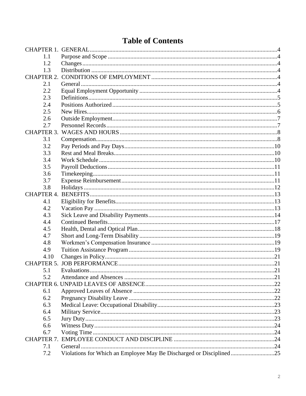## **Table of Contents**

| 1.1  |                                                                     |  |
|------|---------------------------------------------------------------------|--|
| 1.2  |                                                                     |  |
| 1.3  |                                                                     |  |
|      |                                                                     |  |
| 2.1  |                                                                     |  |
| 2.2  |                                                                     |  |
| 2.3  |                                                                     |  |
| 2.4  |                                                                     |  |
| 2.5  |                                                                     |  |
| 2.6  |                                                                     |  |
| 2.7  |                                                                     |  |
|      |                                                                     |  |
| 3.1  |                                                                     |  |
| 3.2  |                                                                     |  |
| 3.3  |                                                                     |  |
| 3.4  |                                                                     |  |
| 3.5  |                                                                     |  |
| 3.6  |                                                                     |  |
| 3.7  |                                                                     |  |
| 3.8  |                                                                     |  |
|      |                                                                     |  |
| 4.1  |                                                                     |  |
| 4.2  |                                                                     |  |
| 4.3  |                                                                     |  |
| 4.4  |                                                                     |  |
| 4.5  |                                                                     |  |
| 4.7  |                                                                     |  |
| 4.8  |                                                                     |  |
| 4.9  |                                                                     |  |
| 4.10 |                                                                     |  |
|      |                                                                     |  |
| 5.1  |                                                                     |  |
| 5.2  |                                                                     |  |
|      |                                                                     |  |
| 6.1  |                                                                     |  |
| 6.2  |                                                                     |  |
| 6.3  |                                                                     |  |
| 6.4  |                                                                     |  |
| 6.5  |                                                                     |  |
| 6.6  |                                                                     |  |
| 6.7  |                                                                     |  |
|      |                                                                     |  |
| 7.1  |                                                                     |  |
| 7.2  | Violations for Which an Employee May Be Discharged or Disciplined25 |  |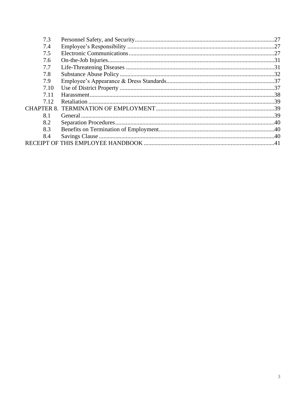| 7.3  |  |
|------|--|
| 7.4  |  |
| 7.5  |  |
| 7.6  |  |
| 7.7  |  |
| 7.8  |  |
| 7.9  |  |
| 7.10 |  |
| 7.11 |  |
| 7.12 |  |
|      |  |
| 8.1  |  |
| 8.2  |  |
| 8.3  |  |
| 8.4  |  |
|      |  |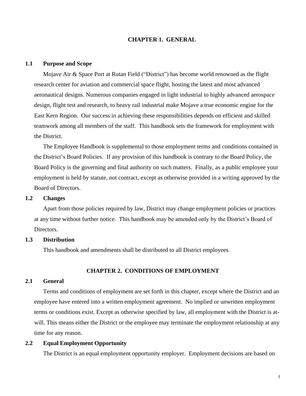## <span id="page-3-0"></span>**CHAPTER 1. GENERAL**

#### <span id="page-3-1"></span>**1.1 Purpose and Scope**

Mojave Air & Space Port at Rutan Field ("District") has become world renowned as the flight research center for aviation and commercial space flight, hosting the latest and most advanced aeronautical designs. Numerous companies engaged in light industrial to highly advanced aerospace design, flight test and research, to heavy rail industrial make Mojave a true economic engine for the East Kern Region. Our success in achieving these responsibilities depends on efficient and skilled teamwork among all members of the staff. This handbook sets the framework for employment with the District.

The Employee Handbook is supplemental to those employment terms and conditions contained in the District's Board Policies. If any provision of this handbook is contrary to the Board Policy, the Board Policy is the governing and final authority on such matters. Finally, as a public employee your employment is held by statute, not contract, except as otherwise provided in a writing approved by the Board of Directors.

## <span id="page-3-2"></span>**1.2 Changes**

Apart from those policies required by law, District may change employment policies or practices at any time without further notice. This handbook may be amended only by the District's Board of Directors.

## <span id="page-3-3"></span>**1.3 Distribution**

This handbook and amendments shall be distributed to all District employees.

## **CHAPTER 2. CONDITIONS OF EMPLOYMENT**

#### <span id="page-3-5"></span><span id="page-3-4"></span>**2.1 General**

Terms and conditions of employment are set forth in this chapter, except where the District and an employee have entered into a written employment agreement. No implied or unwritten employment terms or conditions exist. Except as otherwise specified by law, all employment with the District is atwill. This means either the District or the employee may terminate the employment relationship at any time for any reason.

#### <span id="page-3-6"></span>**2.2 Equal Employment Opportunity**

The District is an equal employment opportunity employer. Employment decisions are based on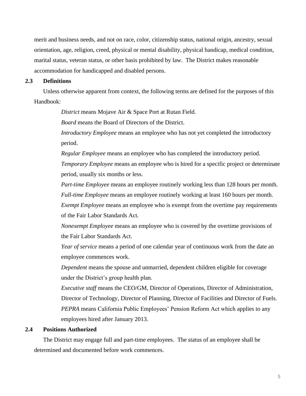merit and business needs, and not on race, color, citizenship status, national origin, ancestry, sexual orientation, age, religion, creed, physical or mental disability, physical handicap, medical condition, marital status, veteran status, or other basis prohibited by law. The District makes reasonable accommodation for handicapped and disabled persons.

#### <span id="page-4-0"></span>**2.3 Definitions**

Unless otherwise apparent from context, the following terms are defined for the purposes of this Handbook:

*District* means Mojave Air & Space Port at Rutan Field.

*Board* means the Board of Directors of the District.

*Introductory Employee* means an employee who has not yet completed the introductory period.

*Regular Employee* means an employee who has completed the introductory period.

*Temporary Employee* means an employee who is hired for a specific project or determinate period, usually six months or less.

*Part-time Employee* means an employee routinely working less than 128 hours per month.

*Full-time Employee* means an employee routinely working at least 160 hours per month.

*Exempt Employee* means an employee who is exempt from the overtime pay requirements of the Fair Labor Standards Act.

*Nonexempt Employee* means an employee who is covered by the overtime provisions of the Fair Labor Standards Act.

*Year of service* means a period of one calendar year of continuous work from the date an employee commences work.

*Dependent* means the spouse and unmarried, dependent children eligible for coverage under the District's group health plan.

*Executive staff* means the CEO/GM, Director of Operations, Director of Administration, Director of Technology, Director of Planning, Director of Facilities and Director of Fuels. *PEPRA* means California Public Employees' Pension Reform Act which applies to any employees hired after January 2013.

#### <span id="page-4-1"></span>**2.4 Positions Authorized**

The District may engage full and part-time employees. The status of an employee shall be determined and documented before work commences.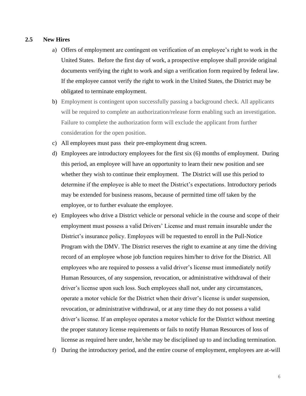## <span id="page-5-0"></span>**2.5 New Hires**

- a) Offers of employment are contingent on verification of an employee's right to work in the United States. Before the first day of work, a prospective employee shall provide original documents verifying the right to work and sign a verification form required by federal law. If the employee cannot verify the right to work in the United States, the District may be obligated to terminate employment.
- b) Employment is contingent upon successfully passing a background check. All applicants will be required to complete an authorization/release form enabling such an investigation. Failure to complete the authorization form will exclude the applicant from further consideration for the open position.
- c) All employees must pass their pre-employment drug screen.
- d) Employees are introductory employees for the first six (6) months of employment. During this period, an employee will have an opportunity to learn their new position and see whether they wish to continue their employment. The District will use this period to determine if the employee is able to meet the District's expectations. Introductory periods may be extended for business reasons, because of permitted time off taken by the employee, or to further evaluate the employee.
- e) Employees who drive a District vehicle or personal vehicle in the course and scope of their employment must possess a valid Drivers' License and must remain insurable under the District's insurance policy. Employees will be requested to enroll in the Pull-Notice Program with the DMV. The District reserves the right to examine at any time the driving record of an employee whose job function requires him/her to drive for the District. All employees who are required to possess a valid driver's license must immediately notify Human Resources, of any suspension, revocation, or administrative withdrawal of their driver's license upon such loss. Such employees shall not, under any circumstances, operate a motor vehicle for the District when their driver's license is under suspension, revocation, or administrative withdrawal, or at any time they do not possess a valid driver's license. If an employee operates a motor vehicle for the District without meeting the proper statutory license requirements or fails to notify Human Resources of loss of license as required here under, he/she may be disciplined up to and including termination.
- f) During the introductory period, and the entire course of employment, employees are at-will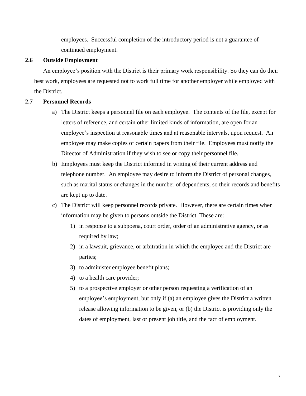employees. Successful completion of the introductory period is not a guarantee of continued employment.

## <span id="page-6-0"></span>**2.6 Outside Employment**

An employee's position with the District is their primary work responsibility. So they can do their best work, employees are requested not to work full time for another employer while employed with the District.

## <span id="page-6-1"></span>**2.7 Personnel Records**

- a) The District keeps a personnel file on each employee. The contents of the file, except for letters of reference, and certain other limited kinds of information, are open for an employee's inspection at reasonable times and at reasonable intervals, upon request. An employee may make copies of certain papers from their file. Employees must notify the Director of Administration if they wish to see or copy their personnel file.
- b) Employees must keep the District informed in writing of their current address and telephone number. An employee may desire to inform the District of personal changes, such as marital status or changes in the number of dependents, so their records and benefits are kept up to date.
- c) The District will keep personnel records private. However, there are certain times when information may be given to persons outside the District. These are:
	- 1) in response to a subpoena, court order, order of an administrative agency, or as required by law;
	- 2) in a lawsuit, grievance, or arbitration in which the employee and the District are parties;
	- 3) to administer employee benefit plans;
	- 4) to a health care provider;
	- 5) to a prospective employer or other person requesting a verification of an employee's employment, but only if (a) an employee gives the District a written release allowing information to be given, or (b) the District is providing only the dates of employment, last or present job title, and the fact of employment.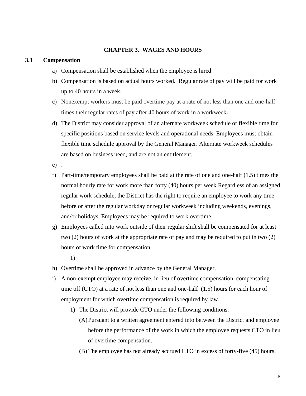## **CHAPTER 3. WAGES AND HOURS**

#### <span id="page-7-1"></span><span id="page-7-0"></span>**3.1 Compensation**

- a) Compensation shall be established when the employee is hired.
- b) Compensation is based on actual hours worked. Regular rate of pay will be paid for work up to 40 hours in a week.
- c) Nonexempt workers must be paid overtime pay at a rate of not less than one and one-half times their regular rates of pay after 40 hours of work in a workweek.
- d) The District may consider approval of an alternate workweek schedule or flexible time for specific positions based on service levels and operational needs. Employees must obtain flexible time schedule approval by the General Manager. Alternate workweek schedules are based on business need, and are not an entitlement.
- e) .
- f) Part-time/temporary employees shall be paid at the rate of one and one-half (1.5) times the normal hourly rate for work more than forty (40) hours per week.Regardless of an assigned regular work schedule, the District has the right to require an employee to work any time before or after the regular workday or regular workweek including weekends, evenings, and/or holidays. Employees may be required to work overtime.
- g) Employees called into work outside of their regular shift shall be compensated for at least two (2) hours of work at the appropriate rate of pay and may be required to put in two (2) hours of work time for compensation.
	- 1)
- h) Overtime shall be approved in advance by the General Manager.
- i) A non-exempt employee may receive, in lieu of overtime compensation, compensating time off (CTO) at a rate of not less than one and one-half (1.5) hours for each hour of employment for which overtime compensation is required by law.
	- 1) The District will provide CTO under the following conditions:
		- (A)Pursuant to a written agreement entered into between the District and employee before the performance of the work in which the employee requests CTO in lieu of overtime compensation.
		- (B) The employee has not already accrued CTO in excess of forty-five (45) hours.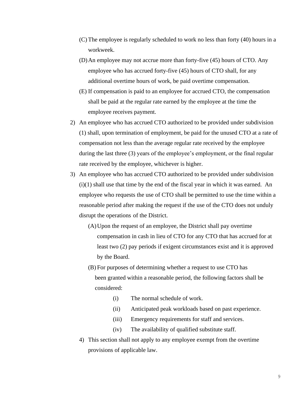- (C) The employee is regularly scheduled to work no less than forty (40) hours in a workweek.
- (D)An employee may not accrue more than forty-five (45) hours of CTO. Any employee who has accrued forty-five (45) hours of CTO shall, for any additional overtime hours of work, be paid overtime compensation.
- (E) If compensation is paid to an employee for accrued CTO, the compensation shall be paid at the regular rate earned by the employee at the time the employee receives payment.
- 2) An employee who has accrued CTO authorized to be provided under subdivision (1) shall, upon termination of employment, be paid for the unused CTO at a rate of compensation not less than the average regular rate received by the employee during the last three (3) years of the employee's employment, or the final regular rate received by the employee, whichever is higher.
- 3) An employee who has accrued CTO authorized to be provided under subdivision  $(i)(1)$  shall use that time by the end of the fiscal year in which it was earned. An employee who requests the use of CTO shall be permitted to use the time within a reasonable period after making the request if the use of the CTO does not unduly disrupt the operations of the District.
	- (A)Upon the request of an employee, the District shall pay overtime compensation in cash in lieu of CTO for any CTO that has accrued for at least two (2) pay periods if exigent circumstances exist and it is approved by the Board.
	- (B) For purposes of determining whether a request to use CTO has been granted within a reasonable period, the following factors shall be considered:
		- (i) The normal schedule of work.
		- (ii) Anticipated peak workloads based on past experience.
		- (iii) Emergency requirements for staff and services.
		- (iv) The availability of qualified substitute staff.
	- 4) This section shall not apply to any employee exempt from the overtime provisions of applicable law.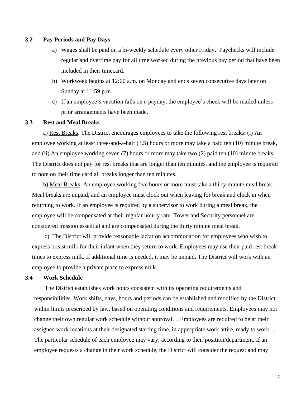## <span id="page-9-0"></span>**3.2 Pay Periods and Pay Days**

- a) Wages shall be paid on a bi-weekly schedule every other Friday**.** Paychecks will include regular and overtime pay for all time worked during the previous pay period that have been included in their timecard.
- b) Workweek begins at 12:00 a.m. on Monday and ends seven consecutive days later on Sunday at 11:59 p.m.
- c) If an employee's vacation falls on a payday, the employee's check will be mailed unless prior arrangements have been made.

## <span id="page-9-1"></span>**3.3 Rest and Meal Breaks**

a) Rest Breaks. The District encourages employees to take the following rest breaks: (i) An employee working at least three-and-a-half (3.5) hours or more may take a paid ten (10) minute break, and (ii) An employee working seven (7) hours or more may take two (2) paid ten (10) minute breaks. The District does not pay for rest breaks that are longer than ten minutes, and the employee is required to note on their time card all breaks longer than ten minutes.

b) Meal Breaks. An employee working five hours or more must take a thirty minute meal break. Meal breaks are unpaid, and an employee must clock out when leaving for break and clock in when returning to work. If an employee is required by a supervisor to work during a meal break, the employee will be compensated at their regular hourly rate. Tower and Security personnel are considered mission essential and are compensated during the thirty minute meal break.

c) The District will provide reasonable lactation accommodation for employees who wish to express breast milk for their infant when they return to work. Employees may use their paid rest break times to express milk. If additional time is needed, it may be unpaid. The District will work with an employee to provide a private place to express milk.

#### <span id="page-9-2"></span>**3.4 Work Schedule**

The District establishes work hours consistent with its operating requirements and responsibilities. Work shifts, days, hours and periods can be established and modified by the District within limits prescribed by law, based on operating conditions and requirements. Employees may not change their own regular work schedule without approval. . Employees are required to be at their assigned work locations at their designated starting time, in appropriate work attire, ready to work. . The particular schedule of each employee may vary, according to their position/department. If an employee requests a change in their work schedule, the District will consider the request and may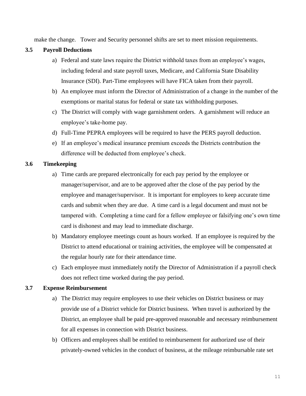make the change. Tower and Security personnel shifts are set to meet mission requirements.

## <span id="page-10-0"></span>**3.5 Payroll Deductions**

- a) Federal and state laws require the District withhold taxes from an employee's wages, including federal and state payroll taxes, Medicare, and California State Disability Insurance (SDI). Part-Time employees will have FICA taken from their payroll.
- b) An employee must inform the Director of Administration of a change in the number of the exemptions or marital status for federal or state tax withholding purposes.
- c) The District will comply with wage garnishment orders. A garnishment will reduce an employee's take-home pay.
- d) Full-Time PEPRA employees will be required to have the PERS payroll deduction.
- e) If an employee's medical insurance premium exceeds the Districts contribution the difference will be deducted from employee's check.

## <span id="page-10-1"></span>**3.6 Timekeeping**

- a) Time cards are prepared electronically for each pay period by the employee or manager/supervisor, and are to be approved after the close of the pay period by the employee and manager/supervisor. It is important for employees to keep accurate time cards and submit when they are due. A time card is a legal document and must not be tampered with. Completing a time card for a fellow employee or falsifying one's own time card is dishonest and may lead to immediate discharge.
- b) Mandatory employee meetings count as hours worked. If an employee is required by the District to attend educational or training activities, the employee will be compensated at the regular hourly rate for their attendance time.
- c) Each employee must immediately notify the Director of Administration if a payroll check does not reflect time worked during the pay period.

## <span id="page-10-2"></span>**3.7 Expense Reimbursement**

- a) The District may require employees to use their vehicles on District business or may provide use of a District vehicle for District business. When travel is authorized by the District, an employee shall be paid pre-approved reasonable and necessary reimbursement for all expenses in connection with District business.
- b) Officers and employees shall be entitled to reimbursement for authorized use of their privately-owned vehicles in the conduct of business, at the mileage reimbursable rate set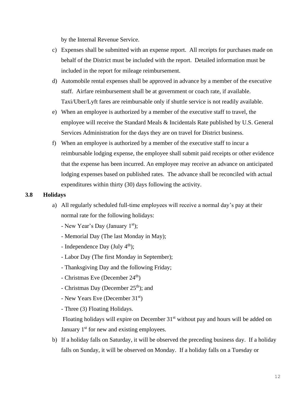by the Internal Revenue Service.

- c) Expenses shall be submitted with an expense report. All receipts for purchases made on behalf of the District must be included with the report. Detailed information must be included in the report for mileage reimbursement.
- d) Automobile rental expenses shall be approved in advance by a member of the executive staff. Airfare reimbursement shall be at government or coach rate, if available. Taxi/Uber/Lyft fares are reimbursable only if shuttle service is not readily available.
- e) When an employee is authorized by a member of the executive staff to travel, the employee will receive the Standard Meals & Incidentals Rate published by U.S. General Services Administration for the days they are on travel for District business.
- f) When an employee is authorized by a member of the executive staff to incur a reimbursable lodging expense, the employee shall submit paid receipts or other evidence that the expense has been incurred. An employee may receive an advance on anticipated lodging expenses based on published rates. The advance shall be reconciled with actual expenditures within thirty (30) days following the activity.

## <span id="page-11-0"></span>**3.8 Holidays**

- a) All regularly scheduled full-time employees will receive a normal day's pay at their normal rate for the following holidays:
	- New Year's Day (January  $1<sup>st</sup>$ );
	- Memorial Day (The last Monday in May);
	- Independence Day (July  $4<sup>th</sup>$ );
	- Labor Day (The first Monday in September);
	- Thanksgiving Day and the following Friday;
	- $-$  Christmas Eve (December 24<sup>th</sup>)
	- Christmas Day (December  $25<sup>th</sup>$ ); and
	- New Years Eve (December 31<sup>st</sup>)
	- Three (3) Floating Holidays.

Floating holidays will expire on December  $31<sup>st</sup>$  without pay and hours will be added on January  $1<sup>st</sup>$  for new and existing employees.

b) If a holiday falls on Saturday, it will be observed the preceding business day. If a holiday falls on Sunday, it will be observed on Monday. If a holiday falls on a Tuesday or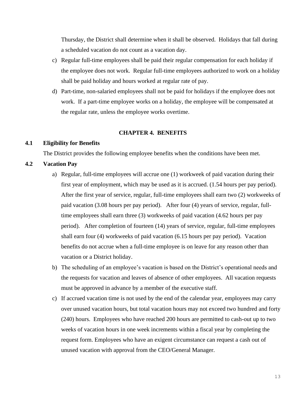Thursday, the District shall determine when it shall be observed. Holidays that fall during a scheduled vacation do not count as a vacation day.

- c) Regular full-time employees shall be paid their regular compensation for each holiday if the employee does not work. Regular full-time employees authorized to work on a holiday shall be paid holiday and hours worked at regular rate of pay.
- d) Part-time, non-salaried employees shall not be paid for holidays if the employee does not work. If a part-time employee works on a holiday, the employee will be compensated at the regular rate, unless the employee works overtime.

## **CHAPTER 4. BENEFITS**

## <span id="page-12-1"></span><span id="page-12-0"></span>**4.1 Eligibility for Benefits**

The District provides the following employee benefits when the conditions have been met.

## <span id="page-12-2"></span>**4.2 Vacation Pay**

- a) Regular, full-time employees will accrue one (1) workweek of paid vacation during their first year of employment, which may be used as it is accrued. (1.54 hours per pay period). After the first year of service, regular, full-time employees shall earn two (2) workweeks of paid vacation (3.08 hours per pay period). After four (4) years of service, regular, fulltime employees shall earn three (3) workweeks of paid vacation (4.62 hours per pay period). After completion of fourteen (14) years of service, regular, full-time employees shall earn four (4) workweeks of paid vacation (6.15 hours per pay period). Vacation benefits do not accrue when a full-time employee is on leave for any reason other than vacation or a District holiday.
- b) The scheduling of an employee's vacation is based on the District's operational needs and the requests for vacation and leaves of absence of other employees. All vacation requests must be approved in advance by a member of the executive staff.
- c) If accrued vacation time is not used by the end of the calendar year, employees may carry over unused vacation hours, but total vacation hours may not exceed two hundred and forty (240) hours. Employees who have reached 200 hours are permitted to cash-out up to two weeks of vacation hours in one week increments within a fiscal year by completing the request form. Employees who have an exigent circumstance can request a cash out of unused vacation with approval from the CEO/General Manager.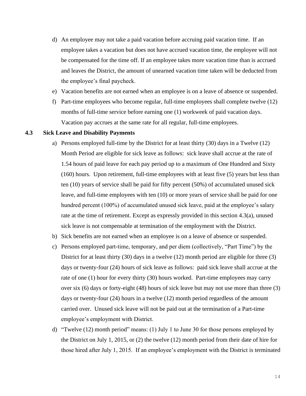- d) An employee may not take a paid vacation before accruing paid vacation time. If an employee takes a vacation but does not have accrued vacation time, the employee will not be compensated for the time off. If an employee takes more vacation time than is accrued and leaves the District, the amount of unearned vacation time taken will be deducted from the employee's final paycheck.
- e) Vacation benefits are not earned when an employee is on a leave of absence or suspended.
- f) Part-time employees who become regular, full-time employees shall complete twelve (12) months of full-time service before earning one (1) workweek of paid vacation days. Vacation pay accrues at the same rate for all regular, full-time employees.

## <span id="page-13-0"></span>**4.3 Sick Leave and Disability Payments**

- a) Persons employed full-time by the District for at least thirty (30) days in a Twelve (12) Month Period are eligible for sick leave as follows: sick leave shall accrue at the rate of 1.54 hours of paid leave for each pay period up to a maximum of One Hundred and Sixty (160) hours. Upon retirement, full-time employees with at least five (5) years but less than ten (10) years of service shall be paid for fifty percent (50%) of accumulated unused sick leave, and full-time employees with ten (10) or more years of service shall be paid for one hundred percent (100%) of accumulated unused sick leave, paid at the employee's salary rate at the time of retirement. Except as expressly provided in this section 4.3(a), unused sick leave is not compensable at termination of the employment with the District.
- b) Sick benefits are not earned when an employee is on a leave of absence or suspended.
- c) Persons employed part-time, temporary, and per diem (collectively, "Part Time") by the District for at least thirty (30) days in a twelve (12) month period are eligible for three (3) days or twenty-four (24) hours of sick leave as follows: paid sick leave shall accrue at the rate of one (1) hour for every thirty (30) hours worked. Part-time employees may carry over six (6) days or forty-eight (48) hours of sick leave but may not use more than three (3) days or twenty-four (24) hours in a twelve (12) month period regardless of the amount carried over. Unused sick leave will not be paid out at the termination of a Part-time employee's employment with District.
- d) "Twelve (12) month period" means: (1) July 1 to June 30 for those persons employed by the District on July 1, 2015, or (2) the twelve (12) month period from their date of hire for those hired after July 1, 2015. If an employee's employment with the District is terminated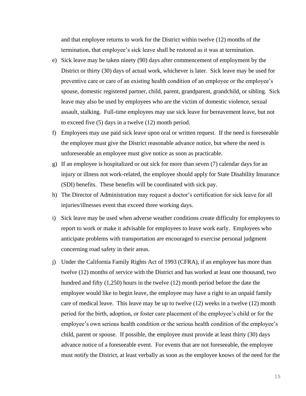and that employee returns to work for the District within twelve (12) months of the termination, that employee's sick leave shall be restored as it was at termination.

- e) Sick leave may be taken ninety (90) days after commencement of employment by the District or thirty (30) days of actual work, whichever is later. Sick leave may be used for preventive care or care of an existing health condition of an employee or the employee's spouse, domestic registered partner, child, parent, grandparent, grandchild, or sibling. Sick leave may also be used by employees who are the victim of domestic violence, sexual assault, stalking. Full-time employees may use sick leave for bereavement leave, but not to exceed five (5) days in a twelve (12) month period.
- f) Employees may use paid sick leave upon oral or written request. If the need is foreseeable the employee must give the District reasonable advance notice, but where the need is unforeseeable an employee must give notice as soon as practicable.
- g) If an employee is hospitalized or out sick for more than seven (7) calendar days for an injury or illness not work-related, the employee should apply for State Disability Insurance (SDI) benefits. These benefits will be coordinated with sick pay.
- h) The Director of Administration may request a doctor's certification for sick leave for all injuries/illnesses event that exceed three working days.
- i) Sick leave may be used when adverse weather conditions create difficulty for employees to report to work or make it advisable for employees to leave work early. Employees who anticipate problems with transportation are encouraged to exercise personal judgment concerning road safety in their areas.
- j) Under the California Family Rights Act of 1993 (CFRA), if an employee has more than twelve (12) months of service with the District and has worked at least one thousand, two hundred and fifty (1,250) hours in the twelve (12) month period before the date the employee would like to begin leave, the employee may have a right to an unpaid family care of medical leave. This leave may be up to twelve (12) weeks in a twelve (12) month period for the birth, adoption, or foster care placement of the employee's child or for the employee's own serious health condition or the serious health condition of the employee's child, parent or spouse. If possible, the employee must provide at least thirty (30) days advance notice of a foreseeable event. For events that are not foreseeable, the employee must notify the District, at least verbally as soon as the employee knows of the need for the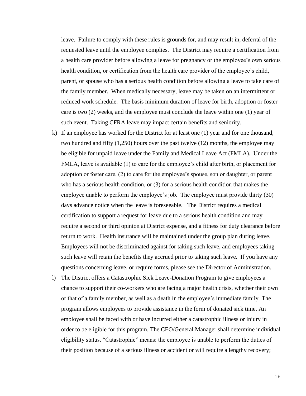leave. Failure to comply with these rules is grounds for, and may result in, deferral of the requested leave until the employee complies. The District may require a certification from a health care provider before allowing a leave for pregnancy or the employee's own serious health condition, or certification from the health care provider of the employee's child, parent, or spouse who has a serious health condition before allowing a leave to take care of the family member. When medically necessary, leave may be taken on an intermittent or reduced work schedule. The basis minimum duration of leave for birth, adoption or foster care is two (2) weeks, and the employee must conclude the leave within one (1) year of such event. Taking CFRA leave may impact certain benefits and seniority.

- k) If an employee has worked for the District for at least one (1) year and for one thousand, two hundred and fifty (1,250) hours over the past twelve (12) months, the employee may be eligible for unpaid leave under the Family and Medical Leave Act (FMLA). Under the FMLA, leave is available (1) to care for the employee's child after birth, or placement for adoption or foster care, (2) to care for the employee's spouse, son or daughter, or parent who has a serious health condition, or (3) for a serious health condition that makes the employee unable to perform the employee's job. The employee must provide thirty (30) days advance notice when the leave is foreseeable. The District requires a medical certification to support a request for leave due to a serious health condition and may require a second or third opinion at District expense, and a fitness for duty clearance before return to work. Health insurance will be maintained under the group plan during leave. Employees will not be discriminated against for taking such leave, and employees taking such leave will retain the benefits they accrued prior to taking such leave. If you have any questions concerning leave, or require forms, please see the Director of Administration.
- l) The District offers a Catastrophic Sick Leave-Donation Program to give employees a chance to support their co-workers who are facing a major health crisis, whether their own or that of a family member, as well as a death in the employee's immediate family. The program allows employees to provide assistance in the form of donated sick time. An employee shall be faced with or have incurred either a catastrophic illness or injury in order to be eligible for this program. The CEO/General Manager shall determine individual eligibility status. "Catastrophic" means: the employee is unable to perform the duties of their position because of a serious illness or accident or will require a lengthy recovery;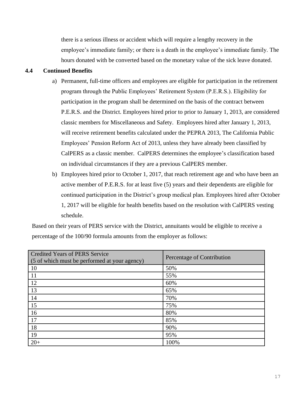there is a serious illness or accident which will require a lengthy recovery in the employee's immediate family; or there is a death in the employee's immediate family. The hours donated with be converted based on the monetary value of the sick leave donated.

## <span id="page-16-0"></span>**4.4 Continued Benefits**

- a) Permanent, full-time officers and employees are eligible for participation in the retirement program through the Public Employees' Retirement System (P.E.R.S.). Eligibility for participation in the program shall be determined on the basis of the contract between P.E.R.S. and the District. Employees hired prior to prior to January 1, 2013, are considered classic members for Miscellaneous and Safety. Employees hired after January 1, 2013, will receive retirement benefits calculated under the PEPRA 2013, The California Public Employees' Pension Reform Act of 2013, unless they have already been classified by CalPERS as a classic member. CalPERS determines the employee's classification based on individual circumstances if they are a previous CalPERS member.
- b) Employees hired prior to October 1, 2017, that reach retirement age and who have been an active member of P.E.R.S. for at least five (5) years and their dependents are eligible for continued participation in the District's group medical plan. Employees hired after October 1, 2017 will be eligible for health benefits based on the resolution with CalPERS vesting schedule.

Based on their years of PERS service with the District, annuitants would be eligible to receive a percentage of the 100/90 formula amounts from the employer as follows:

| <b>Credited Years of PERS Service</b><br>(5 of which must be performed at your agency) | Percentage of Contribution |  |
|----------------------------------------------------------------------------------------|----------------------------|--|
| <b>10</b>                                                                              | 50%                        |  |
| <sup>11</sup>                                                                          | 55%                        |  |
| 12                                                                                     | 60%                        |  |
| 13                                                                                     | 65%                        |  |
| 14                                                                                     | 70%                        |  |
| 15                                                                                     | 75%                        |  |
| 16                                                                                     | 80%                        |  |
| 17                                                                                     | 85%                        |  |
| 18                                                                                     | 90%                        |  |
| 19                                                                                     | 95%                        |  |
| $20+$                                                                                  | 100%                       |  |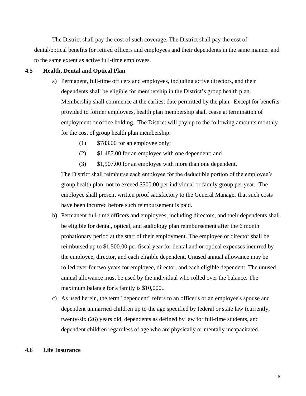The District shall pay the cost of such coverage. The District shall pay the cost of dental/optical benefits for retired officers and employees and their dependents in the same manner and to the same extent as active full-time employees.

#### <span id="page-17-0"></span>**4.5 Health, Dental and Optical Plan**

- a) Permanent, full-time officers and employees, including active directors, and their dependents shall be eligible for membership in the District's group health plan. Membership shall commence at the earliest date permitted by the plan. Except for benefits provided to former employees, health plan membership shall cease at termination of employment or office holding. The District will pay up to the following amounts monthly for the cost of group health plan membership:
	- (1) \$783.00 for an employee only;
	- (2) \$1,487.00 for an employee with one dependent; and
	- (3) \$1,907.00 for an employee with more than one dependent.

The District shall reimburse each employee for the deductible portion of the employee's group health plan, not to exceed \$500.00 per individual or family group per year. The employee shall present written proof satisfactory to the General Manager that such costs have been incurred before such reimbursement is paid.

- b) Permanent full-time officers and employees, including directors, and their dependents shall be eligible for dental, optical, and audiology plan reimbursement after the 6 month probationary period at the start of their employment. The employee or director shall be reimbursed up to \$1,500.00 per fiscal year for dental and or optical expenses incurred by the employee, director, and each eligible dependent. Unused annual allowance may be rolled over for two years for employee, director, and each eligible dependent. The unused annual allowance must be used by the individual who rolled over the balance. The maximum balance for a family is \$10,000..
- c) As used herein, the term "dependent" refers to an officer's or an employee's spouse and dependent unmarried children up to the age specified by federal or state law (currently, twenty-six (26) years old, dependents as defined by law for full-time students, and dependent children regardless of age who are physically or mentally incapacitated.

#### **4.6 Life Insurance**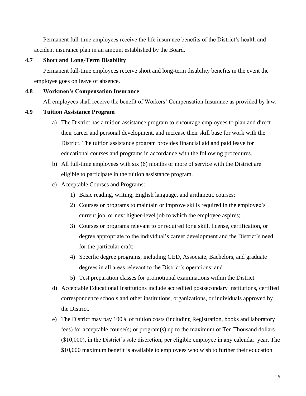Permanent full-time employees receive the life insurance benefits of the District's health and accident insurance plan in an amount established by the Board.

## <span id="page-18-0"></span>**4.7 Short and Long-Term Disability**

Permanent full-time employees receive short and long-term disability benefits in the event the employee goes on leave of absence.

## <span id="page-18-1"></span>**4.8 Workmen's Compensation Insurance**

All employees shall receive the benefit of Workers' Compensation Insurance as provided by law.

## <span id="page-18-2"></span>**4.9 Tuition Assistance Program**

- a) The District has a tuition assistance program to encourage employees to plan and direct their career and personal development, and increase their skill base for work with the District. The tuition assistance program provides financial aid and paid leave for educational courses and programs in accordance with the following procedures.
- b) All full-time employees with six (6) months or more of service with the District are eligible to participate in the tuition assistance program.
- c) Acceptable Courses and Programs:
	- 1) Basic reading, writing, English language, and arithmetic courses;
	- 2) Courses or programs to maintain or improve skills required in the employee's current job, or next higher-level job to which the employee aspires;
	- 3) Courses or programs relevant to or required for a skill, license, certification, or degree appropriate to the individual's career development and the District's need for the particular craft;
	- 4) Specific degree programs, including GED, Associate, Bachelors, and graduate degrees in all areas relevant to the District's operations; and
	- 5) Test preparation classes for promotional examinations within the District.
- d) Acceptable Educational Institutions include accredited postsecondary institutions, certified correspondence schools and other institutions, organizations, or individuals approved by the District.
- e) The District may pay 100% of tuition costs (including Registration, books and laboratory fees) for acceptable course(s) or program(s) up to the maximum of Ten Thousand dollars (\$10,000), in the District's sole discretion, per eligible employee in any calendar year. The \$10,000 maximum benefit is available to employees who wish to further their education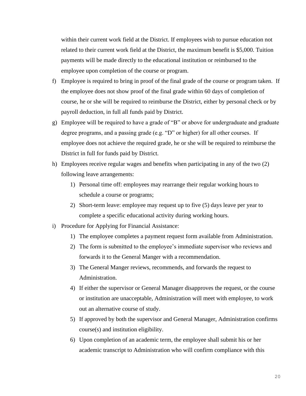within their current work field at the District. If employees wish to pursue education not related to their current work field at the District, the maximum benefit is \$5,000. Tuition payments will be made directly to the educational institution or reimbursed to the employee upon completion of the course or program.

- f) Employee is required to bring in proof of the final grade of the course or program taken. If the employee does not show proof of the final grade within 60 days of completion of course, he or she will be required to reimburse the District, either by personal check or by payroll deduction, in full all funds paid by District.
- g) Employee will be required to have a grade of "B" or above for undergraduate and graduate degree programs, and a passing grade (e.g. "D" or higher) for all other courses. If employee does not achieve the required grade, he or she will be required to reimburse the District in full for funds paid by District.
- h) Employees receive regular wages and benefits when participating in any of the two (2) following leave arrangements:
	- 1) Personal time off: employees may rearrange their regular working hours to schedule a course or programs;
	- 2) Short-term leave: employee may request up to five (5) days leave per year to complete a specific educational activity during working hours.
- i) Procedure for Applying for Financial Assistance:
	- 1) The employee completes a payment request form available from Administration.
	- 2) The form is submitted to the employee's immediate supervisor who reviews and forwards it to the General Manger with a recommendation.
	- 3) The General Manger reviews, recommends, and forwards the request to Administration.
	- 4) If either the supervisor or General Manager disapproves the request, or the course or institution are unacceptable, Administration will meet with employee, to work out an alternative course of study.
	- 5) If approved by both the supervisor and General Manager, Administration confirms course(s) and institution eligibility.
	- 6) Upon completion of an academic term, the employee shall submit his or her academic transcript to Administration who will confirm compliance with this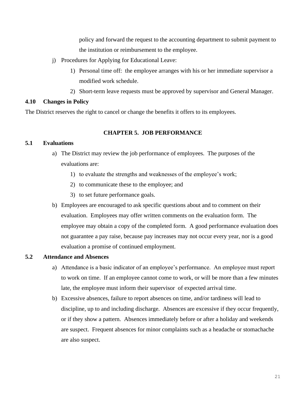policy and forward the request to the accounting department to submit payment to the institution or reimbursement to the employee.

- j) Procedures for Applying for Educational Leave:
	- 1) Personal time off: the employee arranges with his or her immediate supervisor a modified work schedule.
	- 2) Short-term leave requests must be approved by supervisor and General Manager.

## <span id="page-20-0"></span>**4.10 Changes in Policy**

The District reserves the right to cancel or change the benefits it offers to its employees.

## **CHAPTER 5. JOB PERFORMANCE**

## <span id="page-20-2"></span><span id="page-20-1"></span>**5.1 Evaluations**

- a) The District may review the job performance of employees. The purposes of the evaluations are:
	- 1) to evaluate the strengths and weaknesses of the employee's work;
	- 2) to communicate these to the employee; and
	- 3) to set future performance goals.
- b) Employees are encouraged to ask specific questions about and to comment on their evaluation. Employees may offer written comments on the evaluation form. The employee may obtain a copy of the completed form. A good performance evaluation does not guarantee a pay raise, because pay increases may not occur every year, nor is a good evaluation a promise of continued employment.

## <span id="page-20-3"></span>**5.2 Attendance and Absences**

- a) Attendance is a basic indicator of an employee's performance. An employee must report to work on time. If an employee cannot come to work, or will be more than a few minutes late, the employee must inform their supervisor of expected arrival time.
- b) Excessive absences, failure to report absences on time, and/or tardiness will lead to discipline, up to and including discharge. Absences are excessive if they occur frequently, or if they show a pattern. Absences immediately before or after a holiday and weekends are suspect. Frequent absences for minor complaints such as a headache or stomachache are also suspect.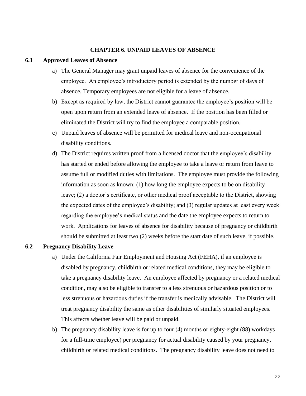## **CHAPTER 6. UNPAID LEAVES OF ABSENCE**

#### <span id="page-21-1"></span><span id="page-21-0"></span>**6.1 Approved Leaves of Absence**

- a) The General Manager may grant unpaid leaves of absence for the convenience of the employee. An employee's introductory period is extended by the number of days of absence. Temporary employees are not eligible for a leave of absence.
- b) Except as required by law, the District cannot guarantee the employee's position will be open upon return from an extended leave of absence. If the position has been filled or eliminated the District will try to find the employee a comparable position.
- c) Unpaid leaves of absence will be permitted for medical leave and non-occupational disability conditions.
- d) The District requires written proof from a licensed doctor that the employee's disability has started or ended before allowing the employee to take a leave or return from leave to assume full or modified duties with limitations. The employee must provide the following information as soon as known: (1) how long the employee expects to be on disability leave; (2) a doctor's certificate, or other medical proof acceptable to the District, showing the expected dates of the employee's disability; and (3) regular updates at least every week regarding the employee's medical status and the date the employee expects to return to work. Applications for leaves of absence for disability because of pregnancy or childbirth should be submitted at least two (2) weeks before the start date of such leave, if possible.

#### <span id="page-21-2"></span>**6.2 Pregnancy Disability Leave**

- a) Under the California Fair Employment and Housing Act (FEHA), if an employee is disabled by pregnancy, childbirth or related medical conditions, they may be eligible to take a pregnancy disability leave. An employee affected by pregnancy or a related medical condition, may also be eligible to transfer to a less strenuous or hazardous position or to less strenuous or hazardous duties if the transfer is medically advisable. The District will treat pregnancy disability the same as other disabilities of similarly situated employees. This affects whether leave will be paid or unpaid.
- b) The pregnancy disability leave is for up to four (4) months or eighty-eight (88) workdays for a full-time employee) per pregnancy for actual disability caused by your pregnancy, childbirth or related medical conditions. The pregnancy disability leave does not need to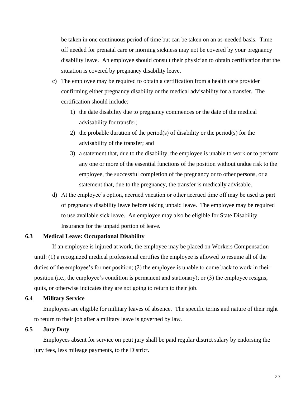be taken in one continuous period of time but can be taken on an as-needed basis. Time off needed for prenatal care or morning sickness may not be covered by your pregnancy disability leave. An employee should consult their physician to obtain certification that the situation is covered by pregnancy disability leave.

- c) The employee may be required to obtain a certification from a health care provider confirming either pregnancy disability or the medical advisability for a transfer. The certification should include:
	- 1) the date disability due to pregnancy commences or the date of the medical advisability for transfer;
	- 2) the probable duration of the period(s) of disability or the period(s) for the advisability of the transfer; and
	- 3) a statement that, due to the disability, the employee is unable to work or to perform any one or more of the essential functions of the position without undue risk to the employee, the successful completion of the pregnancy or to other persons, or a statement that, due to the pregnancy, the transfer is medically advisable.
- d) At the employee's option, accrued vacation or other accrued time off may be used as part of pregnancy disability leave before taking unpaid leave. The employee may be required to use available sick leave. An employee may also be eligible for State Disability Insurance for the unpaid portion of leave.

#### <span id="page-22-0"></span>**6.3 Medical Leave: Occupational Disability**

If an employee is injured at work, the employee may be placed on Workers Compensation until: (1) a recognized medical professional certifies the employee is allowed to resume all of the duties of the employee's former position; (2) the employee is unable to come back to work in their position (i.e., the employee's condition is permanent and stationary); or (3) the employee resigns, quits, or otherwise indicates they are not going to return to their job.

## <span id="page-22-1"></span>**6.4 Military Service**

Employees are eligible for military leaves of absence. The specific terms and nature of their right to return to their job after a military leave is governed by law.

## <span id="page-22-2"></span>**6.5 Jury Duty**

Employees absent for service on petit jury shall be paid regular district salary by endorsing the jury fees, less mileage payments, to the District.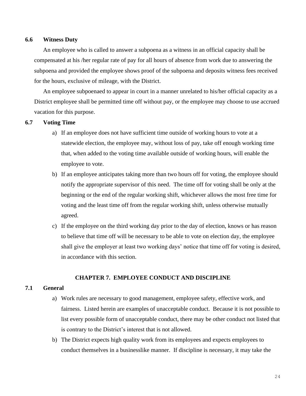#### <span id="page-23-0"></span>**6.6 Witness Duty**

An employee who is called to answer a subpoena as a witness in an official capacity shall be compensated at his /her regular rate of pay for all hours of absence from work due to answering the subpoena and provided the employee shows proof of the subpoena and deposits witness fees received for the hours, exclusive of mileage, with the District.

An employee subpoenaed to appear in court in a manner unrelated to his/her official capacity as a District employee shall be permitted time off without pay, or the employee may choose to use accrued vacation for this purpose.

## <span id="page-23-1"></span>**6.7 Voting Time**

- a) If an employee does not have sufficient time outside of working hours to vote at a statewide election, the employee may, without loss of pay, take off enough working time that, when added to the voting time available outside of working hours, will enable the employee to vote.
- b) If an employee anticipates taking more than two hours off for voting, the employee should notify the appropriate supervisor of this need. The time off for voting shall be only at the beginning or the end of the regular working shift, whichever allows the most free time for voting and the least time off from the regular working shift, unless otherwise mutually agreed.
- c) If the employee on the third working day prior to the day of election, knows or has reason to believe that time off will be necessary to be able to vote on election day, the employee shall give the employer at least two working days' notice that time off for voting is desired, in accordance with this section.

## **CHAPTER 7. EMPLOYEE CONDUCT AND DISCIPLINE**

#### <span id="page-23-3"></span><span id="page-23-2"></span>**7.1 General**

- a) Work rules are necessary to good management, employee safety, effective work, and fairness. Listed herein are examples of unacceptable conduct. Because it is not possible to list every possible form of unacceptable conduct, there may be other conduct not listed that is contrary to the District's interest that is not allowed.
- b) The District expects high quality work from its employees and expects employees to conduct themselves in a businesslike manner. If discipline is necessary, it may take the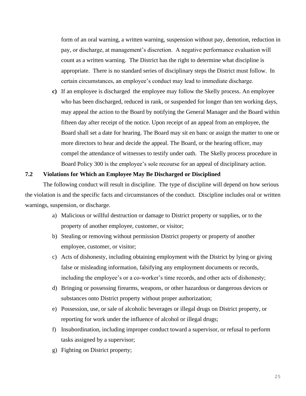form of an oral warning, a written warning, suspension without pay, demotion, reduction in pay, or discharge, at management's discretion. A negative performance evaluation will count as a written warning. The District has the right to determine what discipline is appropriate. There is no standard series of disciplinary steps the District must follow. In certain circumstances, an employee's conduct may lead to immediate discharge.

**c)** If an employee is discharged the employee may follow the Skelly process. An employee who has been discharged, reduced in rank, or suspended for longer than ten working days, may appeal the action to the Board by notifying the General Manager and the Board within fifteen day after receipt of the notice. Upon receipt of an appeal from an employee, the Board shall set a date for hearing. The Board may sit en banc or assign the matter to one or more directors to hear and decide the appeal. The Board, or the hearing officer, may compel the attendance of witnesses to testify under oath. The Skelly process procedure in Board Policy 300 is the employee's sole recourse for an appeal of disciplinary action.

## <span id="page-24-0"></span>**7.2 Violations for Which an Employee May Be Discharged or Disciplined**

The following conduct will result in discipline. The type of discipline will depend on how serious the violation is and the specific facts and circumstances of the conduct. Discipline includes oral or written warnings, suspension, or discharge.

- a) Malicious or willful destruction or damage to District property or supplies, or to the property of another employee, customer, or visitor;
- b) Stealing or removing without permission District property or property of another employee, customer, or visitor;
- c) Acts of dishonesty, including obtaining employment with the District by lying or giving false or misleading information, falsifying any employment documents or records, including the employee's or a co-worker's time records, and other acts of dishonesty;
- d) Bringing or possessing firearms, weapons, or other hazardous or dangerous devices or substances onto District property without proper authorization;
- e) Possession, use, or sale of alcoholic beverages or illegal drugs on District property, or reporting for work under the influence of alcohol or illegal drugs;
- f) Insubordination, including improper conduct toward a supervisor, or refusal to perform tasks assigned by a supervisor;
- g) Fighting on District property;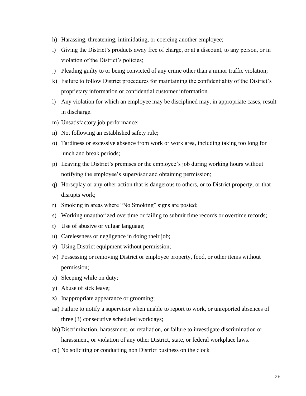- h) Harassing, threatening, intimidating, or coercing another employee;
- i) Giving the District's products away free of charge, or at a discount, to any person, or in violation of the District's policies;
- j) Pleading guilty to or being convicted of any crime other than a minor traffic violation;
- k) Failure to follow District procedures for maintaining the confidentiality of the District's proprietary information or confidential customer information.
- l) Any violation for which an employee may be disciplined may, in appropriate cases, result in discharge.
- m) Unsatisfactory job performance;
- n) Not following an established safety rule;
- o) Tardiness or excessive absence from work or work area, including taking too long for lunch and break periods;
- p) Leaving the District's premises or the employee's job during working hours without notifying the employee's supervisor and obtaining permission;
- q) Horseplay or any other action that is dangerous to others, or to District property, or that disrupts work;
- r) Smoking in areas where "No Smoking" signs are posted;
- s) Working unauthorized overtime or failing to submit time records or overtime records;
- t) Use of abusive or vulgar language;
- u) Carelessness or negligence in doing their job;
- v) Using District equipment without permission;
- w) Possessing or removing District or employee property, food, or other items without permission;
- x) Sleeping while on duty;
- y) Abuse of sick leave;
- z) Inappropriate appearance or grooming;
- aa) Failure to notify a supervisor when unable to report to work, or unreported absences of three (3) consecutive scheduled workdays;
- bb) Discrimination, harassment, or retaliation, or failure to investigate discrimination or harassment, or violation of any other District, state, or federal workplace laws.
- cc) No soliciting or conducting non District business on the clock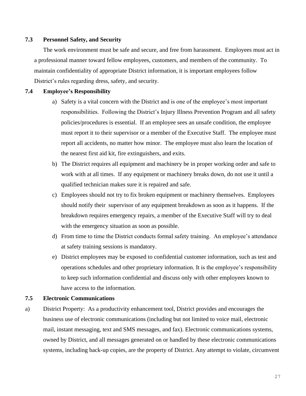## <span id="page-26-0"></span>**7.3 Personnel Safety, and Security**

The work environment must be safe and secure, and free from harassment. Employees must act in a professional manner toward fellow employees, customers, and members of the community. To maintain confidentiality of appropriate District information, it is important employees follow District's rules regarding dress, safety, and security.

## <span id="page-26-1"></span>**7.4 Employee's Responsibility**

- a) Safety is a vital concern with the District and is one of the employee's most important responsibilities. Following the District's Injury Illness Prevention Program and all safety policies/procedures is essential. If an employee sees an unsafe condition, the employee must report it to their supervisor or a member of the Executive Staff. The employee must report all accidents, no matter how minor. The employee must also learn the location of the nearest first aid kit, fire extinguishers, and exits.
- b) The District requires all equipment and machinery be in proper working order and safe to work with at all times. If any equipment or machinery breaks down, do not use it until a qualified technician makes sure it is repaired and safe.
- c) Employees should not try to fix broken equipment or machinery themselves. Employees should notify their supervisor of any equipment breakdown as soon as it happens. If the breakdown requires emergency repairs, a member of the Executive Staff will try to deal with the emergency situation as soon as possible.
- d) From time to time the District conducts formal safety training. An employee's attendance at safety training sessions is mandatory.
- e) District employees may be exposed to confidential customer information, such as test and operations schedules and other proprietary information. It is the employee's responsibility to keep such information confidential and discuss only with other employees known to have access to the information.

## <span id="page-26-2"></span>**7.5 Electronic Communications**

a) District Property: As a productivity enhancement tool, District provides and encourages the business use of electronic communications (including but not limited to voice mail, electronic mail, instant messaging, text and SMS messages, and fax). Electronic communications systems, owned by District, and all messages generated on or handled by these electronic communications systems, including back-up copies, are the property of District. Any attempt to violate, circumvent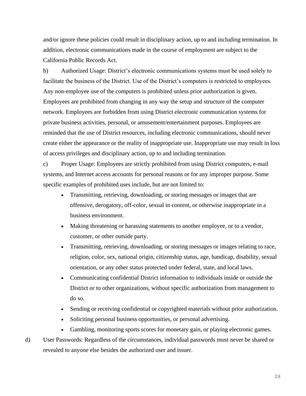and/or ignore these policies could result in disciplinary action, up to and including termination. In addition, electronic communications made in the course of employment are subject to the California Public Records Act.

b) Authorized Usage: District's electronic communications systems must be used solely to facilitate the business of the District. Use of the District's computers is restricted to employees. Any non-employee use of the computers is prohibited unless prior authorization is given. Employees are prohibited from changing in any way the setup and structure of the computer network. Employees are forbidden from using District electronic communication systems for private business activities, personal, or amusement/entertainment purposes. Employees are reminded that the use of District resources, including electronic communications, should never create either the appearance or the reality of inappropriate use. Inappropriate use may result in loss of access privileges and disciplinary action, up to and including termination.

c) Proper Usage: Employees are strictly prohibited from using District computers, e-mail systems, and Internet access accounts for personal reasons or for any improper purpose. Some specific examples of prohibited uses include, but are not limited to:

- Transmitting, retrieving, downloading, or storing messages or images that are offensive, derogatory, off-color, sexual in content, or otherwise inappropriate in a business environment.
- Making threatening or harassing statements to another employee, or to a vendor, customer, or other outside party.
- Transmitting, retrieving, downloading, or storing messages or images relating to race, religion, color, sex, national origin, citizenship status, age, handicap, disability, sexual orientation, or any other status protected under federal, state, and local laws.
- Communicating confidential District information to individuals inside or outside the District or to other organizations, without specific authorization from management to do so.
- Sending or receiving confidential or copyrighted materials without prior authorization.
- Soliciting personal business opportunities, or personal advertising.
- Gambling, monitoring sports scores for monetary gain, or playing electronic games.

d) User Passwords: Regardless of the circumstances, individual passwords must never be shared or revealed to anyone else besides the authorized user and issuer.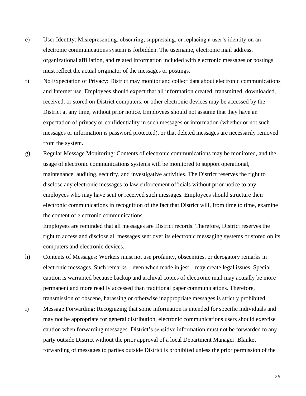- e) User Identity: Misrepresenting, obscuring, suppressing, or replacing a user's identity on an electronic communications system is forbidden. The username, electronic mail address, organizational affiliation, and related information included with electronic messages or postings must reflect the actual originator of the messages or postings.
- f) No Expectation of Privacy: District may monitor and collect data about electronic communications and Internet use. Employees should expect that all information created, transmitted, downloaded, received, or stored on District computers, or other electronic devices may be accessed by the District at any time, without prior notice. Employees should not assume that they have an expectation of privacy or confidentiality in such messages or information (whether or not such messages or information is password protected), or that deleted messages are necessarily removed from the system.
- g) Regular Message Monitoring: Contents of electronic communications may be monitored, and the usage of electronic communications systems will be monitored to support operational, maintenance, auditing, security, and investigative activities. The District reserves the right to disclose any electronic messages to law enforcement officials without prior notice to any employees who may have sent or received such messages. Employees should structure their electronic communications in recognition of the fact that District will, from time to time, examine the content of electronic communications.

Employees are reminded that all messages are District records. Therefore, District reserves the right to access and disclose all messages sent over its electronic messaging systems or stored on its computers and electronic devices.

- h) Contents of Messages: Workers must not use profanity, obscenities, or derogatory remarks in electronic messages. Such remarks—even when made in jest—may create legal issues. Special caution is warranted because backup and archival copies of electronic mail may actually be more permanent and more readily accessed than traditional paper communications. Therefore, transmission of obscene, harassing or otherwise inappropriate messages is strictly prohibited.
- i) Message Forwarding: Recognizing that some information is intended for specific individuals and may not be appropriate for general distribution, electronic communications users should exercise caution when forwarding messages. District's sensitive information must not be forwarded to any party outside District without the prior approval of a local Department Manager. Blanket forwarding of messages to parties outside District is prohibited unless the prior permission of the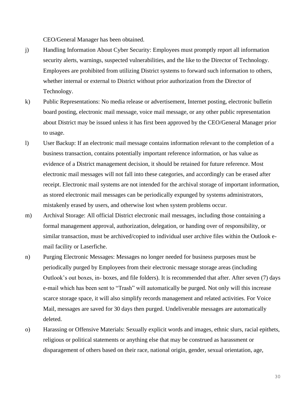CEO/General Manager has been obtained.

- j) Handling Information About Cyber Security: Employees must promptly report all information security alerts, warnings, suspected vulnerabilities, and the like to the Director of Technology. Employees are prohibited from utilizing District systems to forward such information to others, whether internal or external to District without prior authorization from the Director of Technology.
- k) Public Representations: No media release or advertisement, Internet posting, electronic bulletin board posting, electronic mail message, voice mail message, or any other public representation about District may be issued unless it has first been approved by the CEO/General Manager prior to usage.
- l) User Backup: If an electronic mail message contains information relevant to the completion of a business transaction, contains potentially important reference information, or has value as evidence of a District management decision, it should be retained for future reference. Most electronic mail messages will not fall into these categories, and accordingly can be erased after receipt. Electronic mail systems are not intended for the archival storage of important information, as stored electronic mail messages can be periodically expunged by systems administrators, mistakenly erased by users, and otherwise lost when system problems occur.
- m) Archival Storage: All official District electronic mail messages, including those containing a formal management approval, authorization, delegation, or handing over of responsibility, or similar transaction, must be archived/copied to individual user archive files within the Outlook email facility or Laserfiche.
- n) Purging Electronic Messages: Messages no longer needed for business purposes must be periodically purged by Employees from their electronic message storage areas (including Outlook's out boxes, in- boxes, and file folders). It is recommended that after. After seven (7) days e-mail which has been sent to "Trash" will automatically be purged. Not only will this increase scarce storage space, it will also simplify records management and related activities. For Voice Mail, messages are saved for 30 days then purged. Undeliverable messages are automatically deleted.
- o) Harassing or Offensive Materials: Sexually explicit words and images, ethnic slurs, racial epithets, religious or political statements or anything else that may be construed as harassment or disparagement of others based on their race, national origin, gender, sexual orientation, age,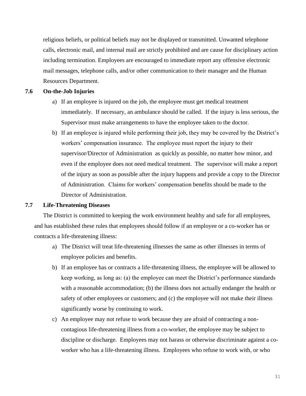religious beliefs, or political beliefs may not be displayed or transmitted. Unwanted telephone calls, electronic mail, and internal mail are strictly prohibited and are cause for disciplinary action including termination. Employees are encouraged to immediate report any offensive electronic mail messages, telephone calls, and/or other communication to their manager and the Human Resources Department.

## <span id="page-30-0"></span>**7.6 On-the-Job Injuries**

- a) If an employee is injured on the job, the employee must get medical treatment immediately. If necessary, an ambulance should be called. If the injury is less serious, the Supervisor must make arrangements to have the employee taken to the doctor.
- b) If an employee is injured while performing their job, they may be covered by the District's workers' compensation insurance. The employee must report the injury to their supervisor/Director of Administration as quickly as possible, no matter how minor, and even if the employee does not need medical treatment. The supervisor will make a report of the injury as soon as possible after the injury happens and provide a copy to the Director of Administration. Claims for workers' compensation benefits should be made to the Director of Administration.

#### <span id="page-30-1"></span>**7.7 Life-Threatening Diseases**

The District is committed to keeping the work environment healthy and safe for all employees, and has established these rules that employees should follow if an employee or a co-worker has or contracts a life-threatening illness:

- a) The District will treat life-threatening illnesses the same as other illnesses in terms of employee policies and benefits.
- b) If an employee has or contracts a life-threatening illness, the employee will be allowed to keep working, as long as: (a) the employee can meet the District's performance standards with a reasonable accommodation; (b) the illness does not actually endanger the health or safety of other employees or customers; and (c) the employee will not make their illness significantly worse by continuing to work.
- c) An employee may not refuse to work because they are afraid of contracting a noncontagious life-threatening illness from a co-worker, the employee may be subject to discipline or discharge. Employees may not harass or otherwise discriminate against a coworker who has a life-threatening illness. Employees who refuse to work with, or who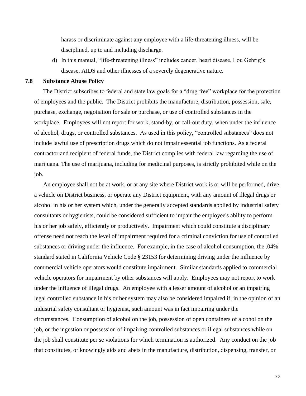harass or discriminate against any employee with a life-threatening illness, will be disciplined, up to and including discharge.

d) In this manual, "life-threatening illness" includes cancer, heart disease, Lou Gehrig's disease, AIDS and other illnesses of a severely degenerative nature.

#### <span id="page-31-0"></span>**7.8 Substance Abuse Policy**

The District subscribes to federal and state law goals for a "drug free" workplace for the protection of employees and the public. The District prohibits the manufacture, distribution, possession, sale, purchase, exchange, negotiation for sale or purchase, or use of controlled substances in the workplace. Employees will not report for work, stand-by, or call-out duty, when under the influence of alcohol, drugs, or controlled substances. As used in this policy, "controlled substances" does not include lawful use of prescription drugs which do not impair essential job functions. As a federal contractor and recipient of federal funds, the District complies with federal law regarding the use of marijuana. The use of marijuana, including for medicinal purposes, is strictly prohibited while on the job.

An employee shall not be at work, or at any site where District work is or will be performed, drive a vehicle on District business, or operate any District equipment, with any amount of illegal drugs or alcohol in his or her system which, under the generally accepted standards applied by industrial safety consultants or hygienists, could be considered sufficient to impair the employee's ability to perform his or her job safely, efficiently or productively. Impairment which could constitute a disciplinary offense need not reach the level of impairment required for a criminal conviction for use of controlled substances or driving under the influence. For example, in the case of alcohol consumption, the .04% standard stated in California Vehicle Code § 23153 for determining driving under the influence by commercial vehicle operators would constitute impairment. Similar standards applied to commercial vehicle operators for impairment by other substances will apply. Employees may not report to work under the influence of illegal drugs. An employee with a lesser amount of alcohol or an impairing legal controlled substance in his or her system may also be considered impaired if, in the opinion of an industrial safety consultant or hygienist, such amount was in fact impairing under the circumstances. Consumption of alcohol on the job, possession of open containers of alcohol on the job, or the ingestion or possession of impairing controlled substances or illegal substances while on the job shall constitute per se violations for which termination is authorized. Any conduct on the job that constitutes, or knowingly aids and abets in the manufacture, distribution, dispensing, transfer, or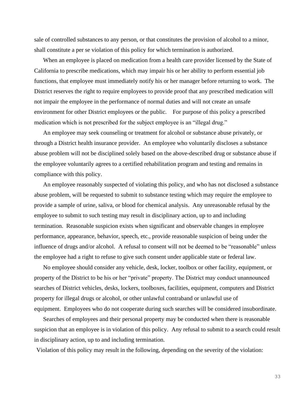sale of controlled substances to any person, or that constitutes the provision of alcohol to a minor, shall constitute a per se violation of this policy for which termination is authorized.

When an employee is placed on medication from a health care provider licensed by the State of California to prescribe medications, which may impair his or her ability to perform essential job functions, that employee must immediately notify his or her manager before returning to work. The District reserves the right to require employees to provide proof that any prescribed medication will not impair the employee in the performance of normal duties and will not create an unsafe environment for other District employees or the public. For purpose of this policy a prescribed medication which is not prescribed for the subject employee is an "illegal drug."

An employee may seek counseling or treatment for alcohol or substance abuse privately, or through a District health insurance provider. An employee who voluntarily discloses a substance abuse problem will not be disciplined solely based on the above-described drug or substance abuse if the employee voluntarily agrees to a certified rehabilitation program and testing and remains in compliance with this policy.

An employee reasonably suspected of violating this policy, and who has not disclosed a substance abuse problem, will be requested to submit to substance testing which may require the employee to provide a sample of urine, saliva, or blood for chemical analysis. Any unreasonable refusal by the employee to submit to such testing may result in disciplinary action, up to and including termination. Reasonable suspicion exists when significant and observable changes in employee performance, appearance, behavior, speech, etc., provide reasonable suspicion of being under the influence of drugs and/or alcohol. A refusal to consent will not be deemed to be "reasonable" unless the employee had a right to refuse to give such consent under applicable state or federal law.

No employee should consider any vehicle, desk, locker, toolbox or other facility, equipment, or property of the District to be his or her "private" property. The District may conduct unannounced searches of District vehicles, desks, lockers, toolboxes, facilities, equipment, computers and District property for illegal drugs or alcohol, or other unlawful contraband or unlawful use of equipment. Employees who do not cooperate during such searches will be considered insubordinate.

Searches of employees and their personal property may be conducted when there is reasonable suspicion that an employee is in violation of this policy. Any refusal to submit to a search could result in disciplinary action, up to and including termination.

Violation of this policy may result in the following, depending on the severity of the violation: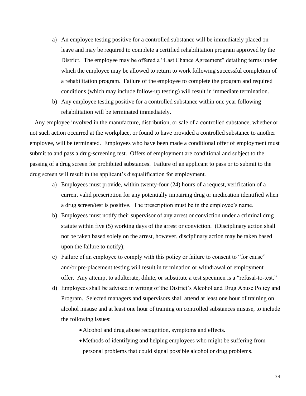- a) An employee testing positive for a controlled substance will be immediately placed on leave and may be required to complete a certified rehabilitation program approved by the District. The employee may be offered a "Last Chance Agreement" detailing terms under which the employee may be allowed to return to work following successful completion of a rehabilitation program. Failure of the employee to complete the program and required conditions (which may include follow-up testing) will result in immediate termination.
- b) Any employee testing positive for a controlled substance within one year following rehabilitation will be terminated immediately.

Any employee involved in the manufacture, distribution, or sale of a controlled substance, whether or not such action occurred at the workplace, or found to have provided a controlled substance to another employee, will be terminated. Employees who have been made a conditional offer of employment must submit to and pass a drug-screening test. Offers of employment are conditional and subject to the passing of a drug screen for prohibited substances. Failure of an applicant to pass or to submit to the drug screen will result in the applicant's disqualification for employment.

- a) Employees must provide, within twenty-four (24) hours of a request, verification of a current valid prescription for any potentially impairing drug or medication identified when a drug screen/test is positive. The prescription must be in the employee's name.
- b) Employees must notify their supervisor of any arrest or conviction under a criminal drug statute within five (5) working days of the arrest or conviction. (Disciplinary action shall not be taken based solely on the arrest, however, disciplinary action may be taken based upon the failure to notify);
- c) Failure of an employee to comply with this policy or failure to consent to "for cause" and/or pre-placement testing will result in termination or withdrawal of employment offer. Any attempt to adulterate, dilute, or substitute a test specimen is a "refusal-to-test."
- d) Employees shall be advised in writing of the District's Alcohol and Drug Abuse Policy and Program. Selected managers and supervisors shall attend at least one hour of training on alcohol misuse and at least one hour of training on controlled substances misuse, to include the following issues:
	- Alcohol and drug abuse recognition, symptoms and effects.
	- •Methods of identifying and helping employees who might be suffering from personal problems that could signal possible alcohol or drug problems.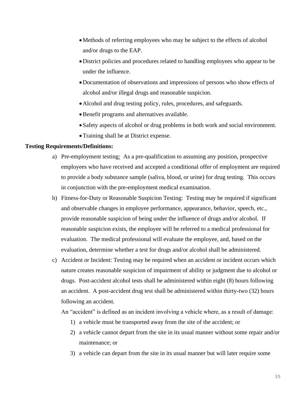- Methods of referring employees who may be subject to the effects of alcohol and/or drugs to the EAP.
- •District policies and procedures related to handling employees who appear to be under the influence.
- •Documentation of observations and impressions of persons who show effects of alcohol and/or illegal drugs and reasonable suspicion.
- •Alcohol and drug testing policy, rules, procedures, and safeguards.
- •Benefit programs and alternatives available.
- Safety aspects of alcohol or drug problems in both work and social environment.
- •Training shall be at District expense.

## **Testing Requirements/Definitions:**

- a) Pre-employment testing: As a pre-qualification to assuming any position, prospective employees who have received and accepted a conditional offer of employment are required to provide a body substance sample (saliva, blood, or urine) for drug testing. This occurs in conjunction with the pre-employment medical examination.
- b) Fitness-for-Duty or Reasonable Suspicion Testing: Testing may be required if significant and observable changes in employee performance, appearance, behavior, speech, etc., provide reasonable suspicion of being under the influence of drugs and/or alcohol. If reasonable suspicion exists, the employee will be referred to a medical professional for evaluation. The medical professional will evaluate the employee, and, based on the evaluation, determine whether a test for drugs and/or alcohol shall be administered.
- c) Accident or Incident: Testing may be required when an accident or incident occurs which nature creates reasonable suspicion of impairment of ability or judgment due to alcohol or drugs. Post-accident alcohol tests shall be administered within eight (8) hours following an accident. A post-accident drug test shall be administered within thirty-two (32) hours following an accident.

An "accident" is defined as an incident involving a vehicle where, as a result of damage:

- 1) a vehicle must be transported away from the site of the accident; or
- 2) a vehicle cannot depart from the site in its usual manner without some repair and/or maintenance; or
- 3) a vehicle can depart from the site in its usual manner but will later require some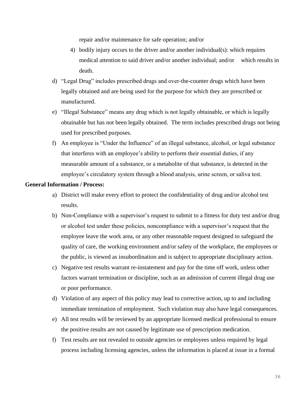repair and/or maintenance for safe operation; and/or

- 4) bodily injury occurs to the driver and/or another individual(s): which requires medical attention to said driver and/or another individual; and/or which results in death.
- d) "Legal Drug" includes prescribed drugs and over-the-counter drugs which have been legally obtained and are being used for the purpose for which they are prescribed or manufactured.
- e) "Illegal Substance" means any drug which is not legally obtainable, or which is legally obtainable but has not been legally obtained. The term includes prescribed drugs not being used for prescribed purposes.
- f) An employee is "Under the Influence" of an illegal substance, alcohol, or legal substance that interferes with an employee's ability to perform their essential duties, if any measurable amount of a substance, or a metabolite of that substance, is detected in the employee's circulatory system through a blood analysis, urine screen, or saliva test.

## **General Information / Process:**

- a) District will make every effort to protect the confidentiality of drug and/or alcohol test results.
- b) Non-Compliance with a supervisor's request to submit to a fitness for duty test and/or drug or alcohol test under these policies, noncompliance with a supervisor's request that the employee leave the work area, or any other reasonable request designed to safeguard the quality of care, the working environment and/or safety of the workplace, the employees or the public, is viewed as insubordination and is subject to appropriate disciplinary action.
- c) Negative test results warrant re-instatement and pay for the time off work, unless other factors warrant termination or discipline, such as an admission of current illegal drug use or poor performance.
- d) Violation of any aspect of this policy may lead to corrective action, up to and including immediate termination of employment. Such violation may also have legal consequences.
- e) All test results will be reviewed by an appropriate licensed medical professional to ensure the positive results are not caused by legitimate use of prescription medication.
- f) Test results are not revealed to outside agencies or employees unless required by legal process including licensing agencies, unless the information is placed at issue in a formal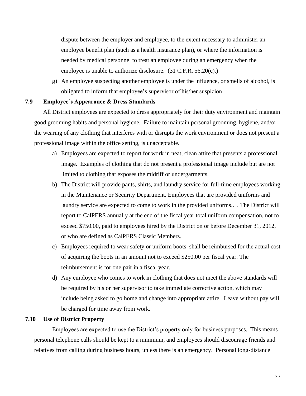dispute between the employer and employee, to the extent necessary to administer an employee benefit plan (such as a health insurance plan), or where the information is needed by medical personnel to treat an employee during an emergency when the employee is unable to authorize disclosure. (31 C.F.R. 56.20(c).)

g) An employee suspecting another employee is under the influence, or smells of alcohol, is obligated to inform that employee's supervisor of his/her suspicion

#### <span id="page-36-0"></span>**7.9 Employee's Appearance & Dress Standards**

All District employees are expected to dress appropriately for their duty environment and maintain good grooming habits and personal hygiene. Failure to maintain personal grooming, hygiene, and/or the wearing of any clothing that interferes with or disrupts the work environment or does not present a professional image within the office setting, is unacceptable.

- a) Employees are expected to report for work in neat, clean attire that presents a professional image. Examples of clothing that do not present a professional image include but are not limited to clothing that exposes the midriff or undergarments.
- b) The District will provide pants, shirts, and laundry service for full-time employees working in the Maintenance or Security Department. Employees that are provided uniforms and laundry service are expected to come to work in the provided uniforms.. . The District will report to CalPERS annually at the end of the fiscal year total uniform compensation, not to exceed \$750.00, paid to employees hired by the District on or before December 31, 2012, or who are defined as CalPERS Classic Members.
- c) Employees required to wear safety or uniform boots shall be reimbursed for the actual cost of acquiring the boots in an amount not to exceed \$250.00 per fiscal year. The reimbursement is for one pair in a fiscal year.
- d) Any employee who comes to work in clothing that does not meet the above standards will be required by his or her supervisor to take immediate corrective action, which may include being asked to go home and change into appropriate attire. Leave without pay will be charged for time away from work.

## <span id="page-36-1"></span>**7.10 Use of District Property**

Employees are expected to use the District's property only for business purposes. This means personal telephone calls should be kept to a minimum, and employees should discourage friends and relatives from calling during business hours, unless there is an emergency. Personal long-distance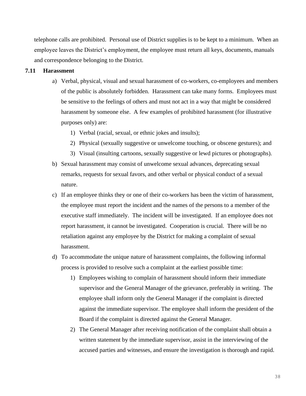telephone calls are prohibited. Personal use of District supplies is to be kept to a minimum. When an employee leaves the District's employment, the employee must return all keys, documents, manuals and correspondence belonging to the District.

#### <span id="page-37-0"></span>**7.11 Harassment**

- a) Verbal, physical, visual and sexual harassment of co-workers, co-employees and members of the public is absolutely forbidden. Harassment can take many forms. Employees must be sensitive to the feelings of others and must not act in a way that might be considered harassment by someone else. A few examples of prohibited harassment (for illustrative purposes only) are:
	- 1) Verbal (racial, sexual, or ethnic jokes and insults);
	- 2) Physical (sexually suggestive or unwelcome touching, or obscene gestures); and
	- 3) Visual (insulting cartoons, sexually suggestive or lewd pictures or photographs).
- b) Sexual harassment may consist of unwelcome sexual advances, deprecating sexual remarks, requests for sexual favors, and other verbal or physical conduct of a sexual nature.
- c) If an employee thinks they or one of their co-workers has been the victim of harassment, the employee must report the incident and the names of the persons to a member of the executive staff immediately. The incident will be investigated. If an employee does not report harassment, it cannot be investigated. Cooperation is crucial. There will be no retaliation against any employee by the District for making a complaint of sexual harassment.
- d) To accommodate the unique nature of harassment complaints, the following informal process is provided to resolve such a complaint at the earliest possible time:
	- 1) Employees wishing to complain of harassment should inform their immediate supervisor and the General Manager of the grievance, preferably in writing. The employee shall inform only the General Manager if the complaint is directed against the immediate supervisor. The employee shall inform the president of the Board if the complaint is directed against the General Manager.
	- 2) The General Manager after receiving notification of the complaint shall obtain a written statement by the immediate supervisor, assist in the interviewing of the accused parties and witnesses, and ensure the investigation is thorough and rapid.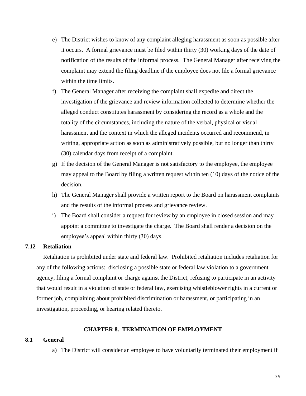- e) The District wishes to know of any complaint alleging harassment as soon as possible after it occurs. A formal grievance must be filed within thirty (30) working days of the date of notification of the results of the informal process. The General Manager after receiving the complaint may extend the filing deadline if the employee does not file a formal grievance within the time limits.
- f) The General Manager after receiving the complaint shall expedite and direct the investigation of the grievance and review information collected to determine whether the alleged conduct constitutes harassment by considering the record as a whole and the totality of the circumstances, including the nature of the verbal, physical or visual harassment and the context in which the alleged incidents occurred and recommend, in writing, appropriate action as soon as administratively possible, but no longer than thirty (30) calendar days from receipt of a complaint.
- g) If the decision of the General Manager is not satisfactory to the employee, the employee may appeal to the Board by filing a written request within ten (10) days of the notice of the decision.
- h) The General Manager shall provide a written report to the Board on harassment complaints and the results of the informal process and grievance review.
- i) The Board shall consider a request for review by an employee in closed session and may appoint a committee to investigate the charge. The Board shall render a decision on the employee's appeal within thirty (30) days.

#### <span id="page-38-0"></span>**7.12 Retaliation**

Retaliation is prohibited under state and federal law. Prohibited retaliation includes retaliation for any of the following actions: disclosing a possible state or federal law violation to a government agency, filing a formal complaint or charge against the District, refusing to participate in an activity that would result in a violation of state or federal law, exercising whistleblower rights in a current or former job, complaining about prohibited discrimination or harassment, or participating in an investigation, proceeding, or hearing related thereto.

## **CHAPTER 8. TERMINATION OF EMPLOYMENT**

#### <span id="page-38-2"></span><span id="page-38-1"></span>**8.1 General**

a) The District will consider an employee to have voluntarily terminated their employment if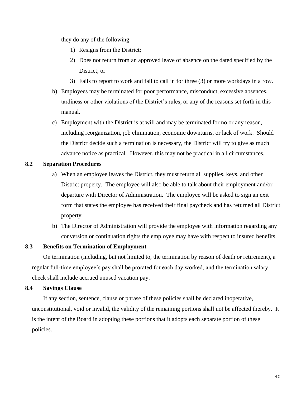they do any of the following:

- 1) Resigns from the District;
- 2) Does not return from an approved leave of absence on the dated specified by the District; or
- 3) Fails to report to work and fail to call in for three (3) or more workdays in a row.
- b) Employees may be terminated for poor performance, misconduct, excessive absences, tardiness or other violations of the District's rules, or any of the reasons set forth in this manual.
- c) Employment with the District is at will and may be terminated for no or any reason, including reorganization, job elimination, economic downturns, or lack of work. Should the District decide such a termination is necessary, the District will try to give as much advance notice as practical. However, this may not be practical in all circumstances.

## <span id="page-39-0"></span>**8.2 Separation Procedures**

- a) When an employee leaves the District, they must return all supplies, keys, and other District property. The employee will also be able to talk about their employment and/or departure with Director of Administration. The employee will be asked to sign an exit form that states the employee has received their final paycheck and has returned all District property.
- b) The Director of Administration will provide the employee with information regarding any conversion or continuation rights the employee may have with respect to insured benefits.

#### <span id="page-39-1"></span>**8.3 Benefits on Termination of Employment**

On termination (including, but not limited to, the termination by reason of death or retirement), a regular full-time employee's pay shall be prorated for each day worked, and the termination salary check shall include accrued unused vacation pay.

## <span id="page-39-2"></span>**8.4 Savings Clause**

If any section, sentence, clause or phrase of these policies shall be declared inoperative, unconstitutional, void or invalid, the validity of the remaining portions shall not be affected thereby. It is the intent of the Board in adopting these portions that it adopts each separate portion of these policies.